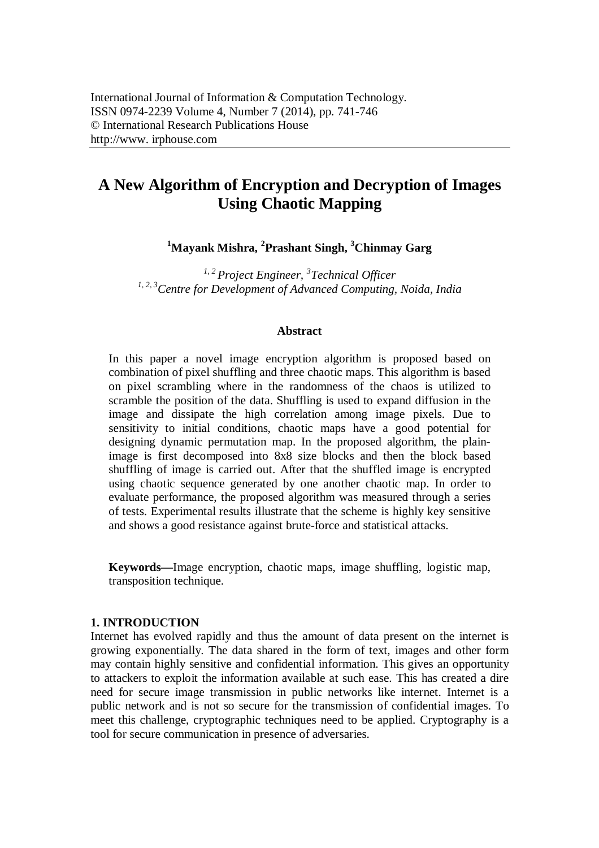# **A New Algorithm of Encryption and Decryption of Images Using Chaotic Mapping**

**<sup>1</sup>Mayank Mishra, 2 Prashant Singh, <sup>3</sup>Chinmay Garg**

*1, 2 Project Engineer, 3 Technical Officer 1, 2, 3Centre for Development of Advanced Computing, Noida, India*

### **Abstract**

In this paper a novel image encryption algorithm is proposed based on combination of pixel shuffling and three chaotic maps. This algorithm is based on pixel scrambling where in the randomness of the chaos is utilized to scramble the position of the data. Shuffling is used to expand diffusion in the image and dissipate the high correlation among image pixels. Due to sensitivity to initial conditions, chaotic maps have a good potential for designing dynamic permutation map. In the proposed algorithm, the plainimage is first decomposed into 8x8 size blocks and then the block based shuffling of image is carried out. After that the shuffled image is encrypted using chaotic sequence generated by one another chaotic map. In order to evaluate performance, the proposed algorithm was measured through a series of tests. Experimental results illustrate that the scheme is highly key sensitive and shows a good resistance against brute-force and statistical attacks.

**Keywords—**Image encryption, chaotic maps, image shuffling, logistic map, transposition technique.

## **1. INTRODUCTION**

Internet has evolved rapidly and thus the amount of data present on the internet is growing exponentially. The data shared in the form of text, images and other form may contain highly sensitive and confidential information. This gives an opportunity to attackers to exploit the information available at such ease. This has created a dire need for secure image transmission in public networks like internet. Internet is a public network and is not so secure for the transmission of confidential images. To meet this challenge, cryptographic techniques need to be applied. Cryptography is a tool for secure communication in presence of adversaries.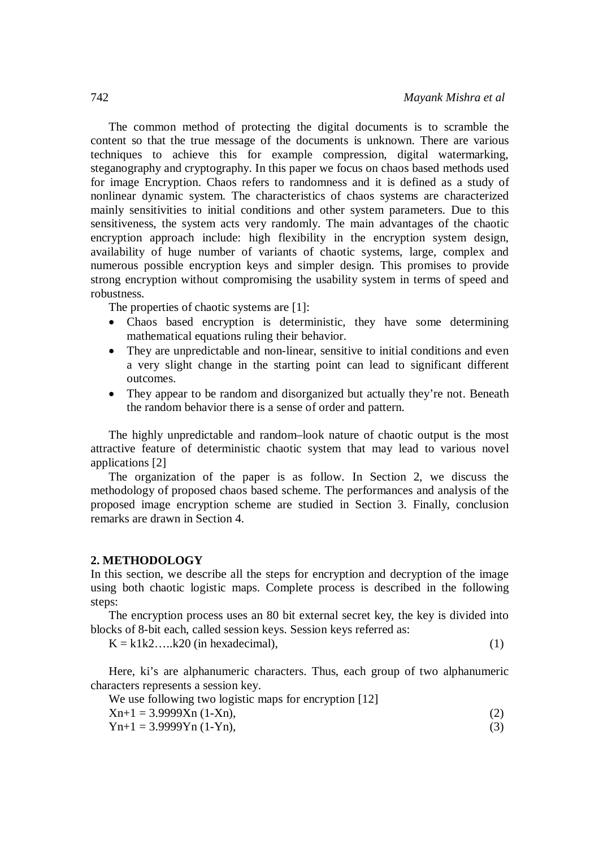The common method of protecting the digital documents is to scramble the content so that the true message of the documents is unknown. There are various techniques to achieve this for example compression, digital watermarking, steganography and cryptography. In this paper we focus on chaos based methods used for image Encryption. Chaos refers to randomness and it is defined as a study of nonlinear dynamic system. The characteristics of chaos systems are characterized mainly sensitivities to initial conditions and other system parameters. Due to this sensitiveness, the system acts very randomly. The main advantages of the chaotic encryption approach include: high flexibility in the encryption system design, availability of huge number of variants of chaotic systems, large, complex and numerous possible encryption keys and simpler design. This promises to provide strong encryption without compromising the usability system in terms of speed and robustness.

The properties of chaotic systems are [1]:

- Chaos based encryption is deterministic, they have some determining mathematical equations ruling their behavior.
- They are unpredictable and non-linear, sensitive to initial conditions and even a very slight change in the starting point can lead to significant different outcomes.
- They appear to be random and disorganized but actually they're not. Beneath the random behavior there is a sense of order and pattern.

The highly unpredictable and random–look nature of chaotic output is the most attractive feature of deterministic chaotic system that may lead to various novel applications [2]

The organization of the paper is as follow. In Section 2, we discuss the methodology of proposed chaos based scheme. The performances and analysis of the proposed image encryption scheme are studied in Section 3. Finally, conclusion remarks are drawn in Section 4.

#### **2. METHODOLOGY**

In this section, we describe all the steps for encryption and decryption of the image using both chaotic logistic maps. Complete process is described in the following steps:

The encryption process uses an 80 bit external secret key, the key is divided into blocks of 8-bit each, called session keys. Session keys referred as:

 $K = k1k2...k20$  (in hexadecimal), (1)

Here, ki's are alphanumeric characters. Thus, each group of two alphanumeric characters represents a session key.

We use following two logistic maps for encryption [12]

| $X_{n+1} = 3.9999X_{n}$ (1-Xn), |  |
|---------------------------------|--|
|                                 |  |

 $Yn+1 = 3.9999Yn (1-Yn),$  (3)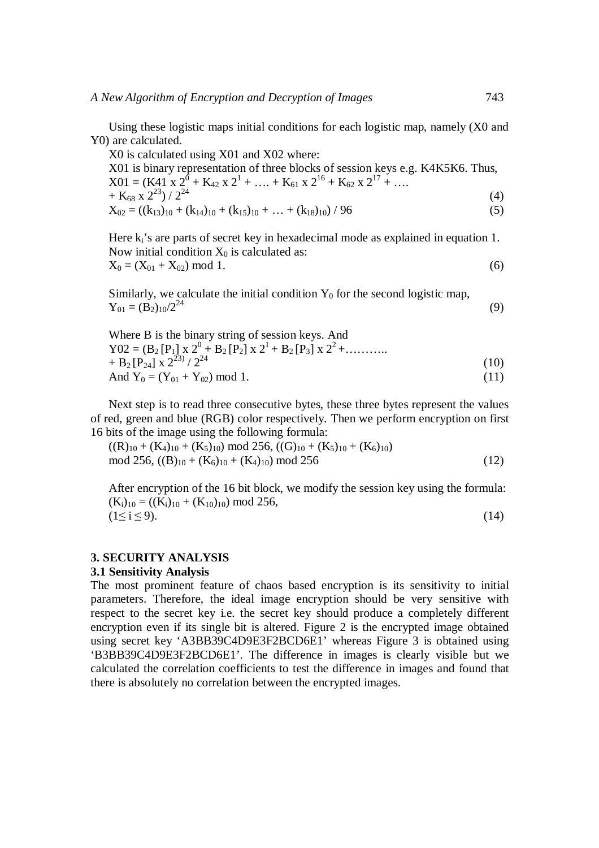Using these logistic maps initial conditions for each logistic map, namely (X0 and Y0) are calculated.

X0 is calculated using X01 and X02 where: X01 is binary representation of three blocks of session keys e.g. K4K5K6. Thus,  $X01 = (K41 \times 2^0 + K_{42} \times 2^1 + \dots + K_{61} \times 2^{16} + K_{62} \times 2^{17} + \dots)$ + K<sub>68</sub> x  $2^{23}$ ) /  $2^{24}$  (4)  $X_{02} = ((k_{13})_{10} + (k_{14})_{10} + (k_{15})_{10} + ... + (k_{18})_{10}) / 96$  (5)

Here k<sub>i</sub>'s are parts of secret key in hexadecimal mode as explained in equation 1. Now initial condition  $X_0$  is calculated as:  $X_0 = (X_{01} + X_{02}) \text{ mod } 1.$  (6)

Similarly, we calculate the initial condition  $Y_0$  for the second logistic map,  $Y_{01} = (B_2)_{10}/2^{24}$  (9)

Where B is the binary string of session keys. And  
\n
$$
Y02 = (B_2 [P_1] \times 2^0 + B_2 [P_2] \times 2^1 + B_2 [P_3] \times 2^2 + \dots + B_2 [P_{24}] \times 2^{23} / 2^{24}
$$
\n
$$
y_0 = (Y_{01} + Y_{02}) \mod 1.
$$
\n(11)

Next step is to read three consecutive bytes, these three bytes represent the values of red, green and blue (RGB) color respectively. Then we perform encryption on first 16 bits of the image using the following formula:

$$
((R)_{10} + (K_4)_{10} + (K_5)_{10}) \mod 256
$$
,  $((G)_{10} + (K_5)_{10} + (K_6)_{10})$   
mod 256,  $((B)_{10} + (K_6)_{10} + (K_4)_{10}) \mod 256$  (12)

After encryption of the 16 bit block, we modify the session key using the formula:  $(K_i)_{10} = ((K_i)_{10} + (K_{10})_{10}) \text{ mod } 256,$  $(1\le i \le 9).$  (14)

# **3. SECURITY ANALYSIS**

### **3.1 Sensitivity Analysis**

The most prominent feature of chaos based encryption is its sensitivity to initial parameters. Therefore, the ideal image encryption should be very sensitive with respect to the secret key i.e. the secret key should produce a completely different encryption even if its single bit is altered. Figure 2 is the encrypted image obtained using secret key 'A3BB39C4D9E3F2BCD6E1' whereas Figure 3 is obtained using 'B3BB39C4D9E3F2BCD6E1'. The difference in images is clearly visible but we calculated the correlation coefficients to test the difference in images and found that there is absolutely no correlation between the encrypted images.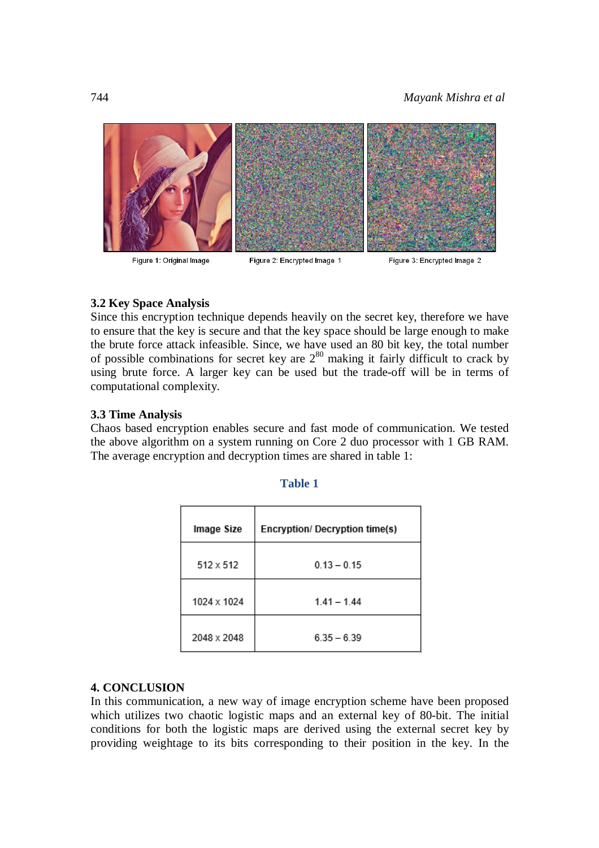## 744 *Mayank Mishra et al*



## **3.2 Key Space Analysis**

Since this encryption technique depends heavily on the secret key, therefore we have to ensure that the key is secure and that the key space should be large enough to make the brute force attack infeasible. Since, we have used an 80 bit key, the total number of possible combinations for secret key are  $2^{80}$  making it fairly difficult to crack by using brute force. A larger key can be used but the trade-off will be in terms of computational complexity.

## **3.3 Time Analysis**

Chaos based encryption enables secure and fast mode of communication. We tested the above algorithm on a system running on Core 2 duo processor with 1 GB RAM. The average encryption and decryption times are shared in table 1:

| Image Size  | <b>Encryption/ Decryption time(s)</b> |
|-------------|---------------------------------------|
| 512 x 512   | $0.13 - 0.15$                         |
| 1024 x 1024 | $1.41 - 1.44$                         |
| 2048 x 2048 | $6.35 - 6.39$                         |

## **Table 1**

### **4. CONCLUSION**

In this communication, a new way of image encryption scheme have been proposed which utilizes two chaotic logistic maps and an external key of 80-bit. The initial conditions for both the logistic maps are derived using the external secret key by providing weightage to its bits corresponding to their position in the key. In the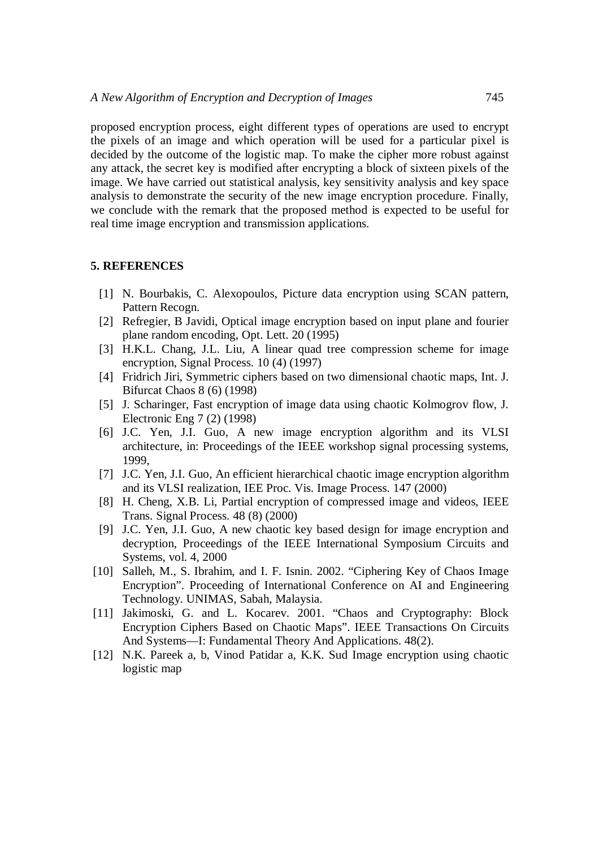proposed encryption process, eight different types of operations are used to encrypt the pixels of an image and which operation will be used for a particular pixel is decided by the outcome of the logistic map. To make the cipher more robust against any attack, the secret key is modified after encrypting a block of sixteen pixels of the image. We have carried out statistical analysis, key sensitivity analysis and key space analysis to demonstrate the security of the new image encryption procedure. Finally, we conclude with the remark that the proposed method is expected to be useful for real time image encryption and transmission applications.

#### **5. REFERENCES**

- [1] N. Bourbakis, C. Alexopoulos, Picture data encryption using SCAN pattern, Pattern Recogn.
- [2] Refregier, B Javidi, Optical image encryption based on input plane and fourier plane random encoding, Opt. Lett. 20 (1995)
- [3] H.K.L. Chang, J.L. Liu, A linear quad tree compression scheme for image encryption, Signal Process. 10 (4) (1997)
- [4] Fridrich Jiri, Symmetric ciphers based on two dimensional chaotic maps, Int. J. Bifurcat Chaos 8 (6) (1998)
- [5] J. Scharinger, Fast encryption of image data using chaotic Kolmogrov flow, J. Electronic Eng 7 (2) (1998)
- [6] J.C. Yen, J.I. Guo, A new image encryption algorithm and its VLSI architecture, in: Proceedings of the IEEE workshop signal processing systems, 1999,
- [7] J.C. Yen, J.I. Guo, An efficient hierarchical chaotic image encryption algorithm and its VLSI realization, IEE Proc. Vis. Image Process. 147 (2000)
- [8] H. Cheng, X.B. Li, Partial encryption of compressed image and videos, IEEE Trans. Signal Process. 48 (8) (2000)
- [9] J.C. Yen, J.I. Guo, A new chaotic key based design for image encryption and decryption, Proceedings of the IEEE International Symposium Circuits and Systems, vol. 4, 2000
- [10] Salleh, M., S. Ibrahim, and I. F. Isnin. 2002. "Ciphering Key of Chaos Image Encryption". Proceeding of International Conference on AI and Engineering Technology. UNIMAS, Sabah, Malaysia.
- [11] Jakimoski, G. and L. Kocarev. 2001. "Chaos and Cryptography: Block Encryption Ciphers Based on Chaotic Maps". IEEE Transactions On Circuits And Systems—I: Fundamental Theory And Applications. 48(2).
- [12] N.K. Pareek a, b, Vinod Patidar a, K.K. Sud Image encryption using chaotic logistic map